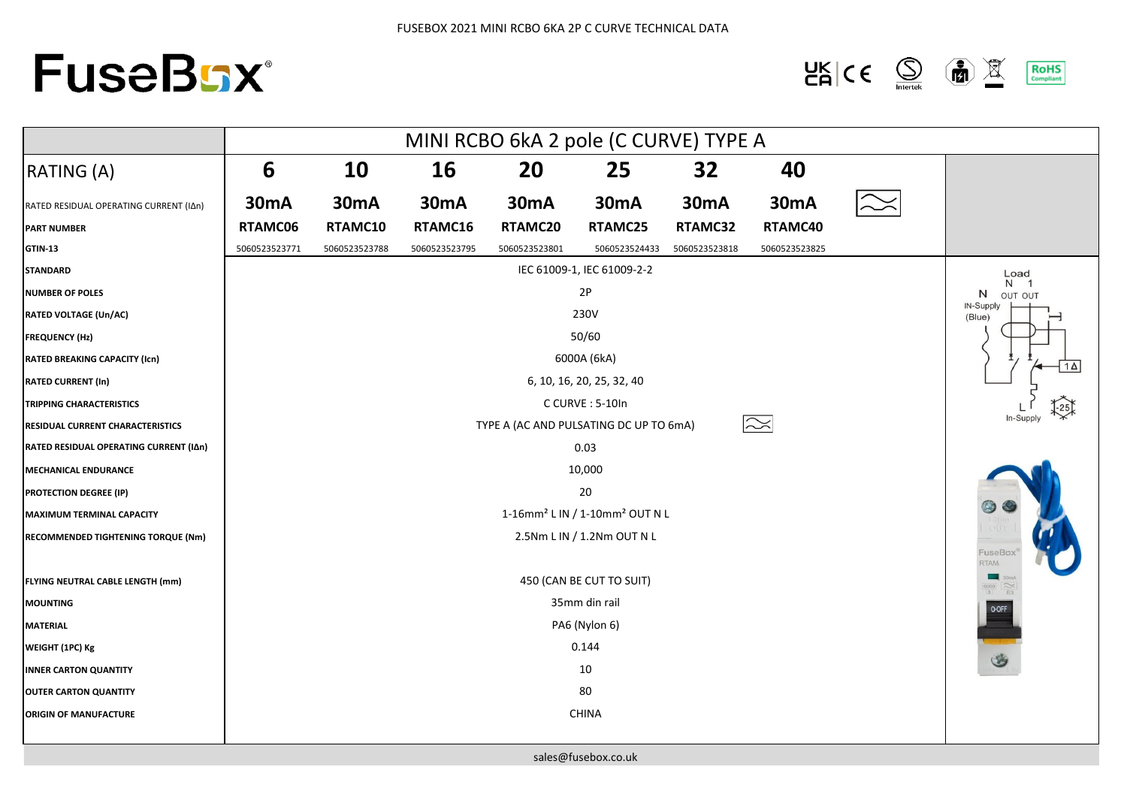## **FuseBGX®**

 $\frac{\mathsf{UK}}{\mathsf{CA}}$  (C  $\bigotimes$  $\left(\frac{1}{\left|\frac{1}{2}\right|}\right)$  $\mathbb{R}$ **RoHS**<br>Compliant

|                                        | MINI RCBO 6kA 2 pole (C CURVE) TYPE A                  |               |               |               |               |               |                   |  |                                                                                                                            |
|----------------------------------------|--------------------------------------------------------|---------------|---------------|---------------|---------------|---------------|-------------------|--|----------------------------------------------------------------------------------------------------------------------------|
| <b>RATING (A)</b>                      | 6                                                      | 10            | 16            | 20            | 25            | 32            | 40                |  |                                                                                                                            |
| RATED RESIDUAL OPERATING CURRENT (IAn) | <b>30mA</b>                                            | <b>30mA</b>   | <b>30mA</b>   | <b>30mA</b>   | <b>30mA</b>   | <b>30mA</b>   | 30 <sub>m</sub> A |  |                                                                                                                            |
| <b>PART NUMBER</b>                     | RTAMC06                                                | RTAMC10       | RTAMC16       | RTAMC20       | RTAMC25       | RTAMC32       | RTAMC40           |  |                                                                                                                            |
| <b>GTIN-13</b>                         | 5060523523771                                          | 5060523523788 | 5060523523795 | 5060523523801 | 5060523524433 | 5060523523818 | 5060523523825     |  |                                                                                                                            |
| <b>STANDARD</b>                        | IEC 61009-1, IEC 61009-2-2                             |               |               |               |               |               |                   |  | Load                                                                                                                       |
| <b>NUMBER OF POLES</b>                 | 2P                                                     |               |               |               |               |               |                   |  | N <sub>1</sub><br>N<br>OUT OUT                                                                                             |
| <b>RATED VOLTAGE (Un/AC)</b>           | 230V                                                   |               |               |               |               |               |                   |  | IN-Supply<br>(Blue)                                                                                                        |
| <b>FREQUENCY (Hz)</b>                  | 50/60                                                  |               |               |               |               |               |                   |  |                                                                                                                            |
| <b>RATED BREAKING CAPACITY (Icn)</b>   | 6000A (6kA)                                            |               |               |               |               |               |                   |  |                                                                                                                            |
| <b>RATED CURRENT (In)</b>              | 6, 10, 16, 20, 25, 32, 40                              |               |               |               |               |               |                   |  |                                                                                                                            |
| <b>TRIPPING CHARACTERISTICS</b>        | C CURVE: 5-10In                                        |               |               |               |               |               |                   |  |                                                                                                                            |
| RESIDUAL CURRENT CHARACTERISTICS       | $\approx$<br>TYPE A (AC AND PULSATING DC UP TO 6mA)    |               |               |               |               |               |                   |  |                                                                                                                            |
| RATED RESIDUAL OPERATING CURRENT (IAn) | 0.03                                                   |               |               |               |               |               |                   |  |                                                                                                                            |
| <b>MECHANICAL ENDURANCE</b>            | 10,000                                                 |               |               |               |               |               |                   |  |                                                                                                                            |
| <b>PROTECTION DEGREE (IP)</b>          | 20                                                     |               |               |               |               |               |                   |  |                                                                                                                            |
| <b>MAXIMUM TERMINAL CAPACITY</b>       | 1-16mm <sup>2</sup> L IN / 1-10mm <sup>2</sup> OUT N L |               |               |               |               |               |                   |  |                                                                                                                            |
| RECOMMENDED TIGHTENING TORQUE (Nm)     | 2.5Nm L IN / 1.2Nm OUT N L                             |               |               |               |               |               |                   |  |                                                                                                                            |
|                                        |                                                        |               |               |               |               |               |                   |  | FuseBc:<br>RTAM                                                                                                            |
| FLYING NEUTRAL CABLE LENGTH (mm)       | 450 (CAN BE CUT TO SUIT)                               |               |               |               |               |               |                   |  | $\mathcal{L}$<br>$\begin{array}{c c}\n\hline\n\text{6000} & \text{$\frown$}\n\\ \hline\n\text{3} & \text{E3}\n\end{array}$ |
| <b>MOUNTING</b>                        | 35mm din rail                                          |               |               |               |               |               |                   |  |                                                                                                                            |
| <b>MATERIAL</b>                        | PA6 (Nylon 6)                                          |               |               |               |               |               |                   |  | O-OFF                                                                                                                      |
| WEIGHT (1PC) Kg                        | 0.144                                                  |               |               |               |               |               |                   |  |                                                                                                                            |
| <b>INNER CARTON QUANTITY</b>           | 10                                                     |               |               |               |               |               |                   |  | $\circledast$                                                                                                              |
| <b>OUTER CARTON QUANTITY</b>           | 80                                                     |               |               |               |               |               |                   |  |                                                                                                                            |
| <b>ORIGIN OF MANUFACTURE</b>           | CHINA                                                  |               |               |               |               |               |                   |  |                                                                                                                            |
|                                        |                                                        |               |               |               |               |               |                   |  |                                                                                                                            |

sales@fusebox.co.uk